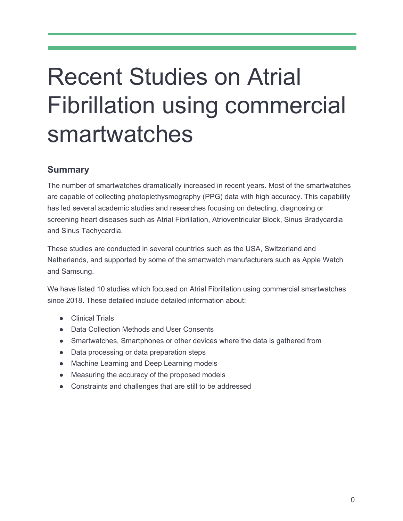# Recent Studies on Atrial Fibrillation using commercial smartwatches

# **Summary**

The number of smartwatches dramatically increased in recent years. Most of the smartwatches are capable of collecting photoplethysmography (PPG) data with high accuracy. This capability has led several academic studies and researches focusing on detecting, diagnosing or screening heart diseases such as Atrial Fibrillation, Atrioventricular Block, Sinus Bradycardia and Sinus Tachycardia.

These studies are conducted in several countries such as the USA, Switzerland and Netherlands, and supported by some of the smartwatch manufacturers such as Apple Watch and Samsung.

We have listed 10 studies which focused on Atrial Fibrillation using commercial smartwatches since 2018. These detailed include detailed information about:

- Clinical Trials
- Data Collection Methods and User Consents
- Smartwatches, Smartphones or other devices where the data is gathered from
- Data processing or data preparation steps
- Machine Learning and Deep Learning models
- Measuring the accuracy of the proposed models
- Constraints and challenges that are still to be addressed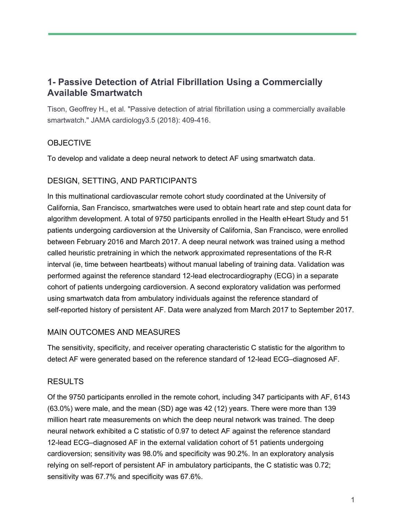# **1- Passive Detection of Atrial Fibrillation Using a Commercially Available Smartwatch**

Tison, Geoffrey H., et al. "Passive detection of atrial fibrillation using a commercially available smartwatch." JAMA cardiology3.5 (2018): 409-416.

## **OBJECTIVE**

To develop and validate a deep neural network to detect AF using smartwatch data.

#### DESIGN, SETTING, AND PARTICIPANTS

In this multinational cardiovascular remote cohort study coordinated at the University of California, San Francisco, smartwatches were used to obtain heart rate and step count data for algorithm development. A total of 9750 participants enrolled in the Health eHeart Study and 51 patients undergoing cardioversion at the University of California, San Francisco, were enrolled between February 2016 and March 2017. A deep neural network was trained using a method called heuristic pretraining in which the network approximated representations of the R-R interval (ie, time between heartbeats) without manual labeling of training data. Validation was performed against the reference standard 12-lead electrocardiography (ECG) in a separate cohort of patients undergoing cardioversion. A second exploratory validation was performed using smartwatch data from ambulatory individuals against the reference standard of self-reported history of persistent AF. Data were analyzed from March 2017 to September 2017.

#### MAIN OUTCOMES AND MEASURES

The sensitivity, specificity, and receiver operating characteristic C statistic for the algorithm to detect AF were generated based on the reference standard of 12-lead ECG–diagnosed AF.

## **RESULTS**

Of the 9750 participants enrolled in the remote cohort, including 347 participants with AF, 6143 (63.0%) were male, and the mean (SD) age was 42 (12) years. There were more than 139 million heart rate measurements on which the deep neural network was trained. The deep neural network exhibited a C statistic of 0.97 to detect AF against the reference standard 12-lead ECG–diagnosed AF in the external validation cohort of 51 patients undergoing cardioversion; sensitivity was 98.0% and specificity was 90.2%. In an exploratory analysis relying on self-report of persistent AF in ambulatory participants, the C statistic was 0.72; sensitivity was 67.7% and specificity was 67.6%.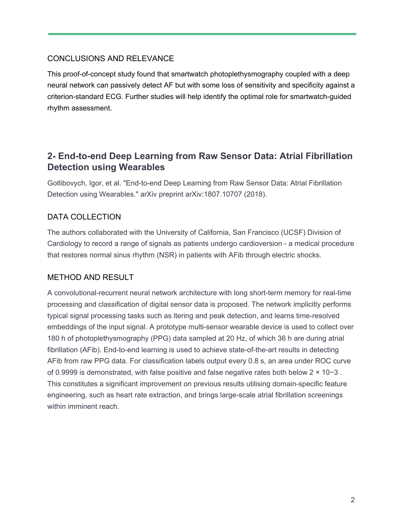## CONCLUSIONS AND RELEVANCE

This proof-of-concept study found that smartwatch photoplethysmography coupled with a deep neural network can passively detect AF but with some loss of sensitivity and specificity against a criterion-standard ECG. Further studies will help identify the optimal role for smartwatch-guided rhythm assessment.

# **2- End-to-end Deep Learning from Raw Sensor Data: Atrial Fibrillation Detection using Wearables**

Gotlibovych, Igor, et al. "End-to-end Deep Learning from Raw Sensor Data: Atrial Fibrillation Detection using Wearables." arXiv preprint arXiv:1807.10707 (2018).

# DATA COLLECTION

The authors collaborated with the University of California, San Francisco (UCSF) Division of Cardiology to record a range of signals as patients undergo cardioversion - a medical procedure that restores normal sinus rhythm (NSR) in patients with AFib through electric shocks.

## METHOD AND RESULT

A convolutional-recurrent neural network architecture with long short-term memory for real-time processing and classification of digital sensor data is proposed. The network implicitly performs typical signal processing tasks such as ltering and peak detection, and learns time-resolved embeddings of the input signal. A prototype multi-sensor wearable device is used to collect over 180 h of photoplethysmography (PPG) data sampled at 20 Hz, of which 36 h are during atrial fibrillation (AFib). End-to-end learning is used to achieve state-of-the-art results in detecting AFib from raw PPG data. For classification labels output every 0.8 s, an area under ROC curve of 0.9999 is demonstrated, with false positive and false negative rates both below 2 × 10−3 . This constitutes a significant improvement on previous results utilising domain-specific feature engineering, such as heart rate extraction, and brings large-scale atrial fibrillation screenings within imminent reach.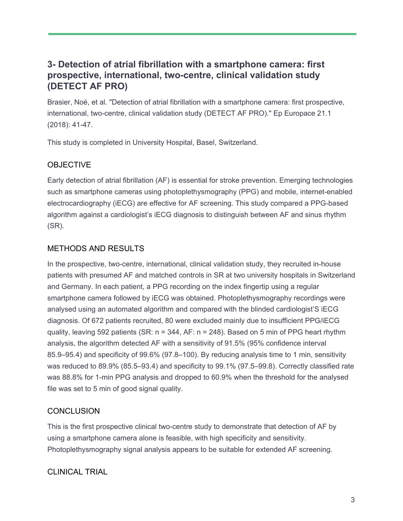# **3- Detection of atrial fibrillation with a smartphone camera: first prospective, international, two-centre, clinical validation study (DETECT AF PRO)**

Brasier, Noé, et al. "Detection of atrial fibrillation with a smartphone camera: first prospective, international, two-centre, clinical validation study (DETECT AF PRO)." Ep Europace 21.1 (2018): 41-47.

This study is completed in University Hospital, Basel, Switzerland.

# **OBJECTIVE**

Early detection of atrial fibrillation (AF) is essential for stroke prevention. Emerging technologies such as smartphone cameras using photoplethysmography (PPG) and mobile, internet-enabled electrocardiography (iECG) are effective for AF screening. This study compared a PPG-based algorithm against a cardiologist's iECG diagnosis to distinguish between AF and sinus rhythm (SR).

## METHODS AND RESULTS

In the prospective, two-centre, international, clinical validation study, they recruited in-house patients with presumed AF and matched controls in SR at two university hospitals in Switzerland and Germany. In each patient, a PPG recording on the index fingertip using a regular smartphone camera followed by iECG was obtained. Photoplethysmography recordings were analysed using an automated algorithm and compared with the blinded cardiologist'S iECG diagnosis. Of 672 patients recruited, 80 were excluded mainly due to insufficient PPG/iECG quality, leaving 592 patients (SR:  $n = 344$ , AF:  $n = 248$ ). Based on 5 min of PPG heart rhythm analysis, the algorithm detected AF with a sensitivity of 91.5% (95% confidence interval 85.9–95.4) and specificity of 99.6% (97.8–100). By reducing analysis time to 1 min, sensitivity was reduced to 89.9% (85.5–93.4) and specificity to 99.1% (97.5–99.8). Correctly classified rate was 88.8% for 1-min PPG analysis and dropped to 60.9% when the threshold for the analysed file was set to 5 min of good signal quality.

## **CONCLUSION**

This is the first prospective clinical two-centre study to demonstrate that detection of AF by using a smartphone camera alone is feasible, with high specificity and sensitivity. Photoplethysmography signal analysis appears to be suitable for extended AF screening.

## CLINICAL TRIAL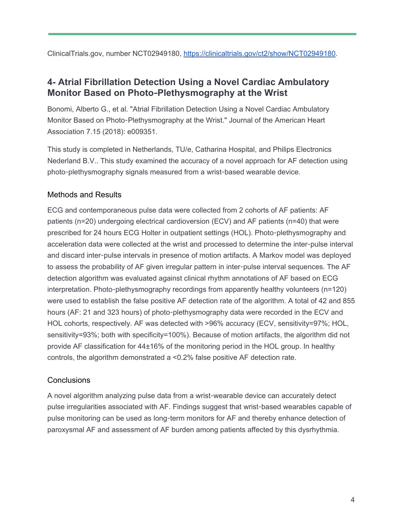ClinicalTrials.gov, number NCT02949180, <https://clinicaltrials.gov/ct2/show/NCT02949180>.

# **4- Atrial Fibrillation Detection Using a Novel Cardiac Ambulatory Monitor Based on Photo**-**Plethysmography at the Wrist**

Bonomi, Alberto G., et al. "Atrial Fibrillation Detection Using a Novel Cardiac Ambulatory Monitor Based on Photo-Plethysmography at the Wrist." Journal of the American Heart Association 7.15 (2018): e009351.

This study is completed in Netherlands, TU/e, Catharina Hospital, and Philips Electronics Nederland B.V.. This study examined the accuracy of a novel approach for AF detection using photo-plethysmography signals measured from a wrist-based wearable device.

## Methods and Results

ECG and contemporaneous pulse data were collected from 2 cohorts of AF patients: AF patients (n=20) undergoing electrical cardioversion (ECV) and AF patients (n=40) that were prescribed for 24 hours ECG Holter in outpatient settings (HOL). Photo-plethysmography and acceleration data were collected at the wrist and processed to determine the inter-pulse interval and discard inter-pulse intervals in presence of motion artifacts. A Markov model was deployed to assess the probability of AF given irregular pattern in inter-pulse interval sequences. The AF detection algorithm was evaluated against clinical rhythm annotations of AF based on ECG interpretation. Photo-plethysmography recordings from apparently healthy volunteers (n=120) were used to establish the false positive AF detection rate of the algorithm. A total of 42 and 855 hours (AF: 21 and 323 hours) of photo-plethysmography data were recorded in the ECV and HOL cohorts, respectively. AF was detected with >96% accuracy (ECV, sensitivity=97%; HOL, sensitivity=93%; both with specificity=100%). Because of motion artifacts, the algorithm did not provide AF classification for 44±16% of the monitoring period in the HOL group. In healthy controls, the algorithm demonstrated a <0.2% false positive AF detection rate.

## **Conclusions**

A novel algorithm analyzing pulse data from a wrist-wearable device can accurately detect pulse irregularities associated with AF. Findings suggest that wrist-based wearables capable of pulse monitoring can be used as long-term monitors for AF and thereby enhance detection of paroxysmal AF and assessment of AF burden among patients affected by this dysrhythmia.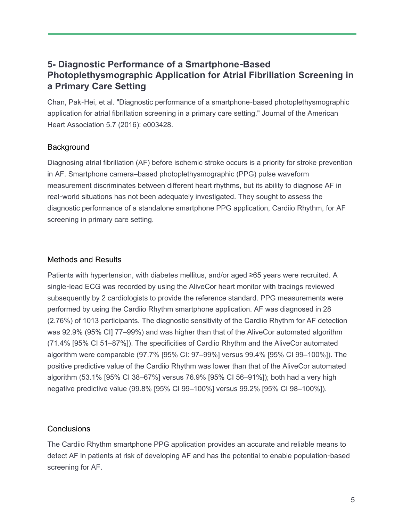# **5- Diagnostic Performance of a Smartphone**-**Based Photoplethysmographic Application for Atrial Fibrillation Screening in a Primary Care Setting**

Chan, Pak-Hei, et al. "Diagnostic performance of a smartphone-based photoplethysmographic application for atrial fibrillation screening in a primary care setting." Journal of the American Heart Association 5.7 (2016): e003428.

#### **Background**

Diagnosing atrial fibrillation (AF) before ischemic stroke occurs is a priority for stroke prevention in AF. Smartphone camera–based photoplethysmographic (PPG) pulse waveform measurement discriminates between different heart rhythms, but its ability to diagnose AF in real-world situations has not been adequately investigated. They sought to assess the diagnostic performance of a standalone smartphone PPG application, Cardiio Rhythm, for AF screening in primary care setting.

#### Methods and Results

Patients with hypertension, with diabetes mellitus, and/or aged ≥65 years were recruited. A single-lead ECG was recorded by using the AliveCor heart monitor with tracings reviewed subsequently by 2 cardiologists to provide the reference standard. PPG measurements were performed by using the Cardiio Rhythm smartphone application. AF was diagnosed in 28 (2.76%) of 1013 participants. The diagnostic sensitivity of the Cardiio Rhythm for AF detection was 92.9% (95% CI] 77–99%) and was higher than that of the AliveCor automated algorithm (71.4% [95% CI 51–87%]). The specificities of Cardiio Rhythm and the AliveCor automated algorithm were comparable (97.7% [95% CI: 97–99%] versus 99.4% [95% CI 99–100%]). The positive predictive value of the Cardiio Rhythm was lower than that of the AliveCor automated algorithm (53.1% [95% CI 38–67%] versus 76.9% [95% CI 56–91%]); both had a very high negative predictive value (99.8% [95% CI 99–100%] versus 99.2% [95% CI 98–100%]).

#### **Conclusions**

The Cardiio Rhythm smartphone PPG application provides an accurate and reliable means to detect AF in patients at risk of developing AF and has the potential to enable population-based screening for AF.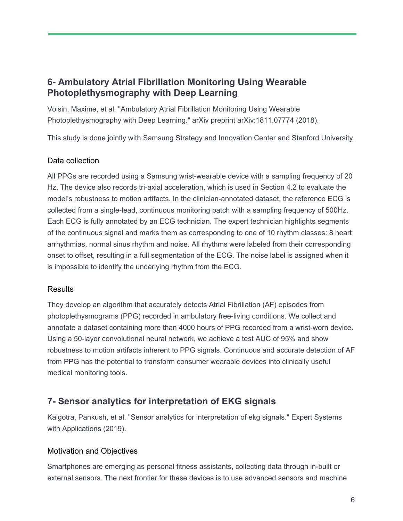# **6- Ambulatory Atrial Fibrillation Monitoring Using Wearable Photoplethysmography with Deep Learning**

Voisin, Maxime, et al. "Ambulatory Atrial Fibrillation Monitoring Using Wearable Photoplethysmography with Deep Learning." arXiv preprint arXiv:1811.07774 (2018).

This study is done jointly with Samsung Strategy and Innovation Center and Stanford University.

#### Data collection

All PPGs are recorded using a Samsung wrist-wearable device with a sampling frequency of 20 Hz. The device also records tri-axial acceleration, which is used in Section 4.2 to evaluate the model's robustness to motion artifacts. In the clinician-annotated dataset, the reference ECG is collected from a single-lead, continuous monitoring patch with a sampling frequency of 500Hz. Each ECG is fully annotated by an ECG technician. The expert technician highlights segments of the continuous signal and marks them as corresponding to one of 10 rhythm classes: 8 heart arrhythmias, normal sinus rhythm and noise. All rhythms were labeled from their corresponding onset to offset, resulting in a full segmentation of the ECG. The noise label is assigned when it is impossible to identify the underlying rhythm from the ECG.

#### **Results**

They develop an algorithm that accurately detects Atrial Fibrillation (AF) episodes from photoplethysmograms (PPG) recorded in ambulatory free-living conditions. We collect and annotate a dataset containing more than 4000 hours of PPG recorded from a wrist-worn device. Using a 50-layer convolutional neural network, we achieve a test AUC of 95% and show robustness to motion artifacts inherent to PPG signals. Continuous and accurate detection of AF from PPG has the potential to transform consumer wearable devices into clinically useful medical monitoring tools.

# **7- Sensor analytics for interpretation of EKG signals**

Kalgotra, Pankush, et al. "Sensor analytics for interpretation of ekg signals." Expert Systems with Applications (2019).

#### Motivation and Objectives

Smartphones are emerging as personal fitness assistants, collecting data through in-built or external sensors. The next frontier for these devices is to use advanced sensors and machine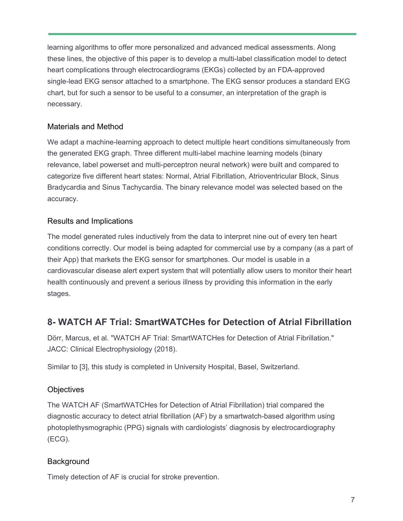learning algorithms to offer more personalized and advanced medical assessments. Along these lines, the objective of this paper is to develop a multi-label classification model to detect heart complications through electrocardiograms (EKGs) collected by an FDA-approved single-lead EKG sensor attached to a smartphone. The EKG sensor produces a standard EKG chart, but for such a sensor to be useful to a consumer, an interpretation of the graph is necessary.

## Materials and Method

We adapt a machine-learning approach to detect multiple heart conditions simultaneously from the generated EKG graph. Three different multi-label machine learning models (binary relevance, label powerset and multi-perceptron neural network) were built and compared to categorize five different heart states: Normal, Atrial Fibrillation, Atrioventricular Block, Sinus Bradycardia and Sinus Tachycardia. The binary relevance model was selected based on the accuracy.

# Results and Implications

The model generated rules inductively from the data to interpret nine out of every ten heart conditions correctly. Our model is being adapted for commercial use by a company (as a part of their App) that markets the EKG sensor for smartphones. Our model is usable in a cardiovascular disease alert expert system that will potentially allow users to monitor their heart health continuously and prevent a serious illness by providing this information in the early stages.

# **8- WATCH AF Trial: SmartWATCHes for Detection of Atrial Fibrillation**

Dörr, Marcus, et al. "WATCH AF Trial: SmartWATCHes for Detection of Atrial Fibrillation." JACC: Clinical Electrophysiology (2018).

Similar to [3], this study is completed in University Hospital, Basel, Switzerland.

## **Objectives**

The WATCH AF (SmartWATCHes for Detection of Atrial Fibrillation) trial compared the diagnostic accuracy to detect atrial fibrillation (AF) by a smartwatch-based algorithm using photoplethysmographic (PPG) signals with cardiologists' diagnosis by electrocardiography (ECG).

## **Background**

Timely detection of AF is crucial for stroke prevention.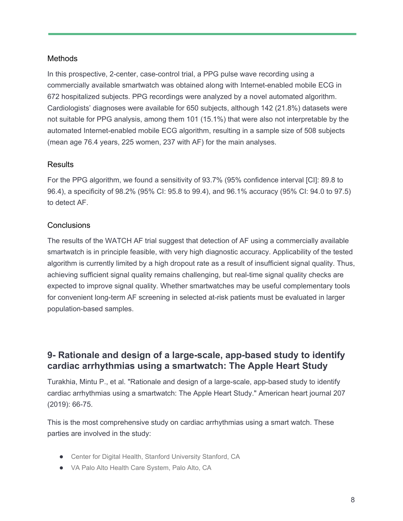#### Methods

In this prospective, 2-center, case-control trial, a PPG pulse wave recording using a commercially available smartwatch was obtained along with Internet-enabled mobile ECG in 672 hospitalized subjects. PPG recordings were analyzed by a novel automated algorithm. Cardiologists' diagnoses were available for 650 subjects, although 142 (21.8%) datasets were not suitable for PPG analysis, among them 101 (15.1%) that were also not interpretable by the automated Internet-enabled mobile ECG algorithm, resulting in a sample size of 508 subjects (mean age 76.4 years, 225 women, 237 with AF) for the main analyses.

#### **Results**

For the PPG algorithm, we found a sensitivity of 93.7% (95% confidence interval [CI]: 89.8 to 96.4), a specificity of 98.2% (95% CI: 95.8 to 99.4), and 96.1% accuracy (95% CI: 94.0 to 97.5) to detect AF.

#### **Conclusions**

The results of the WATCH AF trial suggest that detection of AF using a commercially available smartwatch is in principle feasible, with very high diagnostic accuracy. Applicability of the tested algorithm is currently limited by a high dropout rate as a result of insufficient signal quality. Thus, achieving sufficient signal quality remains challenging, but real-time signal quality checks are expected to improve signal quality. Whether smartwatches may be useful complementary tools for convenient long-term AF screening in selected at-risk patients must be evaluated in larger population-based samples.

# **9- Rationale and design of a large-scale, app-based study to identify cardiac arrhythmias using a smartwatch: The Apple Heart Study**

Turakhia, Mintu P., et al. "Rationale and design of a large-scale, app-based study to identify cardiac arrhythmias using a smartwatch: The Apple Heart Study." American heart journal 207 (2019): 66-75.

This is the most comprehensive study on cardiac arrhythmias using a smart watch. These parties are involved in the study:

- Center for Digital Health, Stanford University Stanford, CA
- VA Palo Alto Health Care System, Palo Alto, CA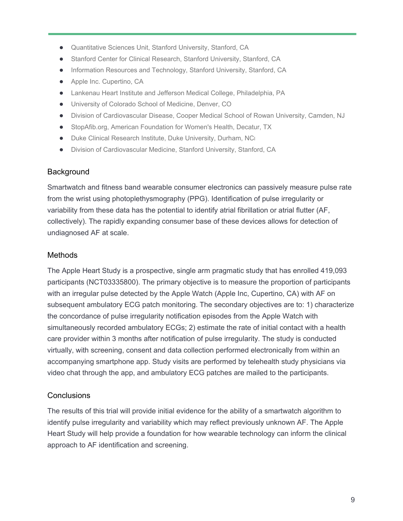- Quantitative Sciences Unit, Stanford University, Stanford, CA
- Stanford Center for Clinical Research, Stanford University, Stanford, CA
- Information Resources and Technology, Stanford University, Stanford, CA
- Apple Inc. Cupertino, CA
- Lankenau Heart Institute and Jefferson Medical College, Philadelphia, PA
- University of Colorado School of Medicine, Denver, CO
- Division of Cardiovascular Disease, Cooper Medical School of Rowan University, Camden, NJ
- StopAfib.org, American Foundation for Women's Health, Decatur, TX
- Duke Clinical Research Institute, Duke University, Durham, NCI
- Division of Cardiovascular Medicine, Stanford University, Stanford, CA

#### **Background**

Smartwatch and fitness band wearable consumer electronics can passively measure pulse rate from the wrist using photoplethysmography (PPG). Identification of pulse irregularity or variability from these data has the potential to identify atrial fibrillation or atrial flutter (AF, collectively). The rapidly expanding consumer base of these devices allows for detection of undiagnosed AF at scale.

#### **Methods**

The Apple Heart Study is a prospective, single arm pragmatic study that has enrolled 419,093 participants (NCT03335800). The primary objective is to measure the proportion of participants with an irregular pulse detected by the Apple Watch (Apple Inc, Cupertino, CA) with AF on subsequent ambulatory ECG patch monitoring. The secondary objectives are to: 1) characterize the concordance of pulse irregularity notification episodes from the Apple Watch with simultaneously recorded ambulatory ECGs; 2) estimate the rate of initial contact with a health care provider within 3 months after notification of pulse irregularity. The study is conducted virtually, with screening, consent and data collection performed electronically from within an accompanying smartphone app. Study visits are performed by telehealth study physicians via video chat through the app, and ambulatory ECG patches are mailed to the participants.

#### **Conclusions**

The results of this trial will provide initial evidence for the ability of a smartwatch algorithm to identify pulse irregularity and variability which may reflect previously unknown AF. The Apple Heart Study will help provide a foundation for how wearable technology can inform the clinical approach to AF identification and screening.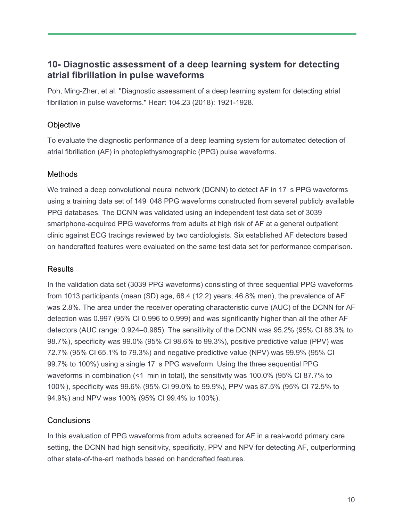# **10- Diagnostic assessment of a deep learning system for detecting atrial fibrillation in pulse waveforms**

Poh, Ming-Zher, et al. "Diagnostic assessment of a deep learning system for detecting atrial fibrillation in pulse waveforms." Heart 104.23 (2018): 1921-1928.

## **Objective**

To evaluate the diagnostic performance of a deep learning system for automated detection of atrial fibrillation (AF) in photoplethysmographic (PPG) pulse waveforms.

#### Methods

We trained a deep convolutional neural network (DCNN) to detect AF in 17 s PPG waveforms using a training data set of 149 048 PPG waveforms constructed from several publicly available PPG databases. The DCNN was validated using an independent test data set of 3039 smartphone-acquired PPG waveforms from adults at high risk of AF at a general outpatient clinic against ECG tracings reviewed by two cardiologists. Six established AF detectors based on handcrafted features were evaluated on the same test data set for performance comparison.

#### **Results**

In the validation data set (3039 PPG waveforms) consisting of three sequential PPG waveforms from 1013 participants (mean (SD) age, 68.4 (12.2) years; 46.8% men), the prevalence of AF was 2.8%. The area under the receiver operating characteristic curve (AUC) of the DCNN for AF detection was 0.997 (95% CI 0.996 to 0.999) and was significantly higher than all the other AF detectors (AUC range: 0.924–0.985). The sensitivity of the DCNN was 95.2% (95% CI 88.3% to 98.7%), specificity was 99.0% (95% CI 98.6% to 99.3%), positive predictive value (PPV) was 72.7% (95% CI 65.1% to 79.3%) and negative predictive value (NPV) was 99.9% (95% CI 99.7% to 100%) using a single 17 s PPG waveform. Using the three sequential PPG waveforms in combination (<1 min in total), the sensitivity was 100.0% (95% CI 87.7% to 100%), specificity was 99.6% (95% CI 99.0% to 99.9%), PPV was 87.5% (95% CI 72.5% to 94.9%) and NPV was 100% (95% CI 99.4% to 100%).

## **Conclusions**

In this evaluation of PPG waveforms from adults screened for AF in a real-world primary care setting, the DCNN had high sensitivity, specificity, PPV and NPV for detecting AF, outperforming other state-of-the-art methods based on handcrafted features.